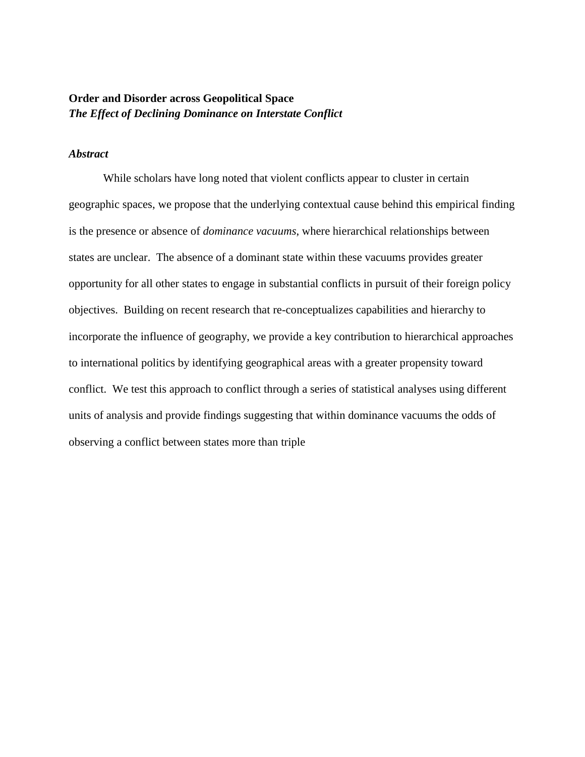# **Order and Disorder across Geopolitical Space**  *The Effect of Declining Dominance on Interstate Conflict*

# *Abstract*

While scholars have long noted that violent conflicts appear to cluster in certain geographic spaces, we propose that the underlying contextual cause behind this empirical finding is the presence or absence of *dominance vacuums*, where hierarchical relationships between states are unclear. The absence of a dominant state within these vacuums provides greater opportunity for all other states to engage in substantial conflicts in pursuit of their foreign policy objectives. Building on recent research that re-conceptualizes capabilities and hierarchy to incorporate the influence of geography, we provide a key contribution to hierarchical approaches to international politics by identifying geographical areas with a greater propensity toward conflict. We test this approach to conflict through a series of statistical analyses using different units of analysis and provide findings suggesting that within dominance vacuums the odds of observing a conflict between states more than triple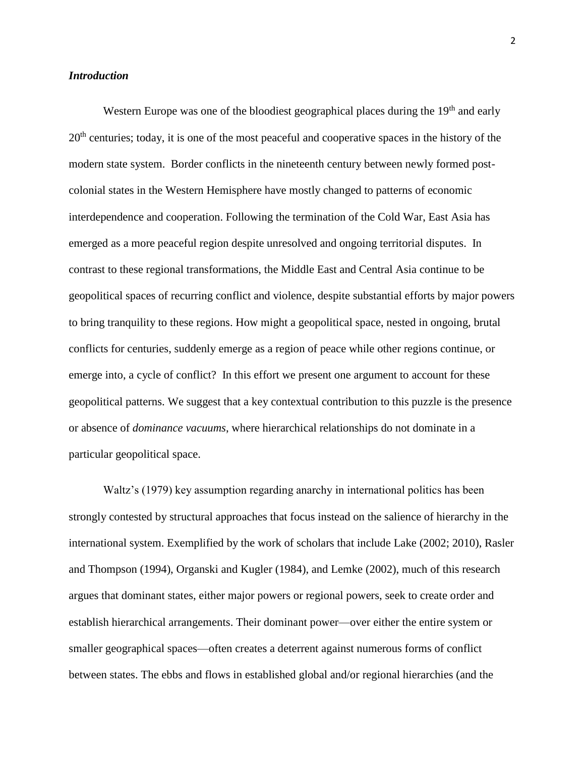# *Introduction*

Western Europe was one of the bloodiest geographical places during the 19<sup>th</sup> and early 20<sup>th</sup> centuries; today, it is one of the most peaceful and cooperative spaces in the history of the modern state system. Border conflicts in the nineteenth century between newly formed postcolonial states in the Western Hemisphere have mostly changed to patterns of economic interdependence and cooperation. Following the termination of the Cold War, East Asia has emerged as a more peaceful region despite unresolved and ongoing territorial disputes. In contrast to these regional transformations, the Middle East and Central Asia continue to be geopolitical spaces of recurring conflict and violence, despite substantial efforts by major powers to bring tranquility to these regions. How might a geopolitical space, nested in ongoing, brutal conflicts for centuries, suddenly emerge as a region of peace while other regions continue, or emerge into, a cycle of conflict? In this effort we present one argument to account for these geopolitical patterns. We suggest that a key contextual contribution to this puzzle is the presence or absence of *dominance vacuums*, where hierarchical relationships do not dominate in a particular geopolitical space.

Waltz's (1979) key assumption regarding anarchy in international politics has been strongly contested by structural approaches that focus instead on the salience of hierarchy in the international system. Exemplified by the work of scholars that include Lake (2002; 2010), Rasler and Thompson (1994), Organski and Kugler (1984), and Lemke (2002), much of this research argues that dominant states, either major powers or regional powers, seek to create order and establish hierarchical arrangements. Their dominant power—over either the entire system or smaller geographical spaces—often creates a deterrent against numerous forms of conflict between states. The ebbs and flows in established global and/or regional hierarchies (and the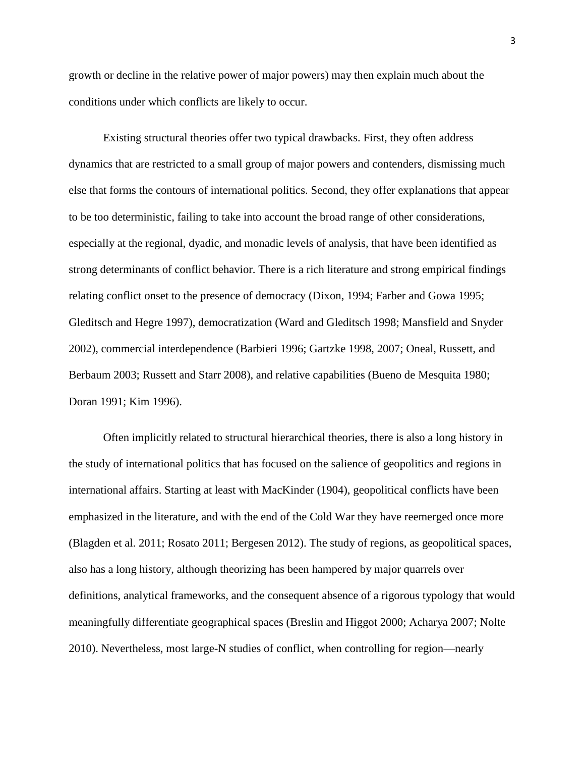growth or decline in the relative power of major powers) may then explain much about the conditions under which conflicts are likely to occur.

Existing structural theories offer two typical drawbacks. First, they often address dynamics that are restricted to a small group of major powers and contenders, dismissing much else that forms the contours of international politics. Second, they offer explanations that appear to be too deterministic, failing to take into account the broad range of other considerations, especially at the regional, dyadic, and monadic levels of analysis, that have been identified as strong determinants of conflict behavior. There is a rich literature and strong empirical findings relating conflict onset to the presence of democracy (Dixon, 1994; Farber and Gowa 1995; Gleditsch and Hegre 1997), democratization (Ward and Gleditsch 1998; Mansfield and Snyder 2002), commercial interdependence (Barbieri 1996; Gartzke 1998, 2007; Oneal, Russett, and Berbaum 2003; Russett and Starr 2008), and relative capabilities (Bueno de Mesquita 1980; Doran 1991; Kim 1996).

Often implicitly related to structural hierarchical theories, there is also a long history in the study of international politics that has focused on the salience of geopolitics and regions in international affairs. Starting at least with MacKinder (1904), geopolitical conflicts have been emphasized in the literature, and with the end of the Cold War they have reemerged once more (Blagden et al. 2011; Rosato 2011; Bergesen 2012). The study of regions, as geopolitical spaces, also has a long history, although theorizing has been hampered by major quarrels over definitions, analytical frameworks, and the consequent absence of a rigorous typology that would meaningfully differentiate geographical spaces (Breslin and Higgot 2000; Acharya 2007; Nolte 2010). Nevertheless, most large-N studies of conflict, when controlling for region—nearly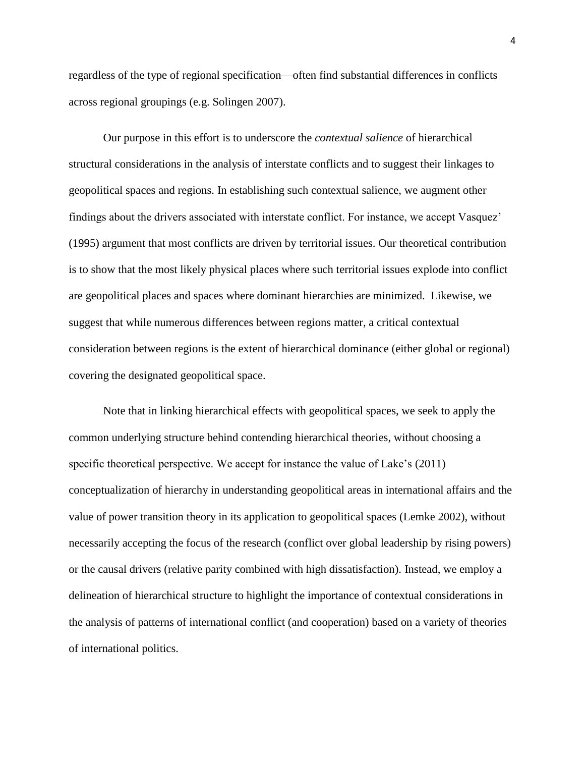regardless of the type of regional specification—often find substantial differences in conflicts across regional groupings (e.g. Solingen 2007).

Our purpose in this effort is to underscore the *contextual salience* of hierarchical structural considerations in the analysis of interstate conflicts and to suggest their linkages to geopolitical spaces and regions. In establishing such contextual salience, we augment other findings about the drivers associated with interstate conflict. For instance, we accept Vasquez' (1995) argument that most conflicts are driven by territorial issues. Our theoretical contribution is to show that the most likely physical places where such territorial issues explode into conflict are geopolitical places and spaces where dominant hierarchies are minimized. Likewise, we suggest that while numerous differences between regions matter, a critical contextual consideration between regions is the extent of hierarchical dominance (either global or regional) covering the designated geopolitical space.

Note that in linking hierarchical effects with geopolitical spaces, we seek to apply the common underlying structure behind contending hierarchical theories, without choosing a specific theoretical perspective. We accept for instance the value of Lake's (2011) conceptualization of hierarchy in understanding geopolitical areas in international affairs and the value of power transition theory in its application to geopolitical spaces (Lemke 2002), without necessarily accepting the focus of the research (conflict over global leadership by rising powers) or the causal drivers (relative parity combined with high dissatisfaction). Instead, we employ a delineation of hierarchical structure to highlight the importance of contextual considerations in the analysis of patterns of international conflict (and cooperation) based on a variety of theories of international politics.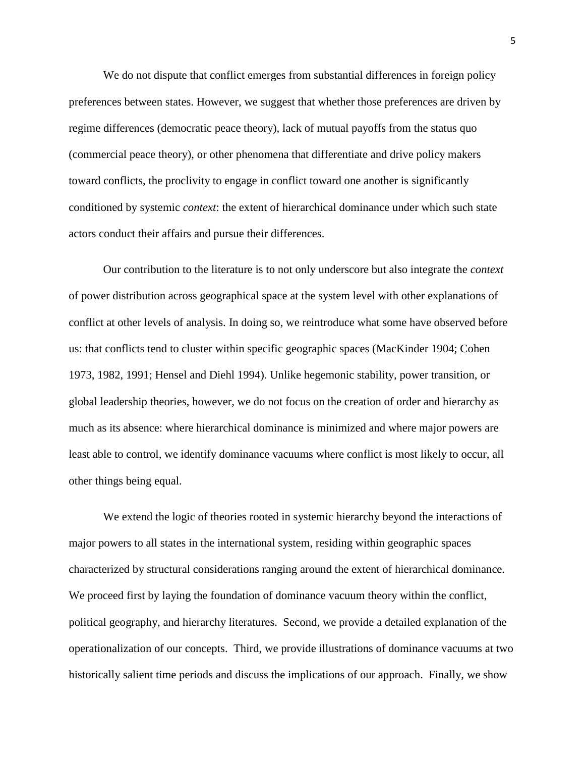We do not dispute that conflict emerges from substantial differences in foreign policy preferences between states. However, we suggest that whether those preferences are driven by regime differences (democratic peace theory), lack of mutual payoffs from the status quo (commercial peace theory), or other phenomena that differentiate and drive policy makers toward conflicts, the proclivity to engage in conflict toward one another is significantly conditioned by systemic *context*: the extent of hierarchical dominance under which such state actors conduct their affairs and pursue their differences.

Our contribution to the literature is to not only underscore but also integrate the *context* of power distribution across geographical space at the system level with other explanations of conflict at other levels of analysis. In doing so, we reintroduce what some have observed before us: that conflicts tend to cluster within specific geographic spaces (MacKinder 1904; Cohen 1973, 1982, 1991; Hensel and Diehl 1994). Unlike hegemonic stability, power transition, or global leadership theories, however, we do not focus on the creation of order and hierarchy as much as its absence: where hierarchical dominance is minimized and where major powers are least able to control, we identify dominance vacuums where conflict is most likely to occur, all other things being equal.

We extend the logic of theories rooted in systemic hierarchy beyond the interactions of major powers to all states in the international system, residing within geographic spaces characterized by structural considerations ranging around the extent of hierarchical dominance. We proceed first by laying the foundation of dominance vacuum theory within the conflict, political geography, and hierarchy literatures. Second, we provide a detailed explanation of the operationalization of our concepts. Third, we provide illustrations of dominance vacuums at two historically salient time periods and discuss the implications of our approach. Finally, we show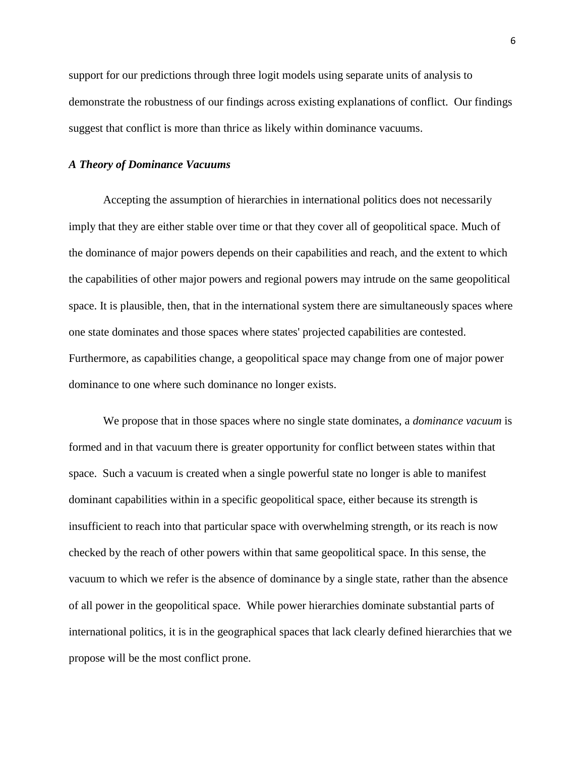support for our predictions through three logit models using separate units of analysis to demonstrate the robustness of our findings across existing explanations of conflict. Our findings suggest that conflict is more than thrice as likely within dominance vacuums.

## *A Theory of Dominance Vacuums*

Accepting the assumption of hierarchies in international politics does not necessarily imply that they are either stable over time or that they cover all of geopolitical space. Much of the dominance of major powers depends on their capabilities and reach, and the extent to which the capabilities of other major powers and regional powers may intrude on the same geopolitical space. It is plausible, then, that in the international system there are simultaneously spaces where one state dominates and those spaces where states' projected capabilities are contested. Furthermore, as capabilities change, a geopolitical space may change from one of major power dominance to one where such dominance no longer exists.

We propose that in those spaces where no single state dominates, a *dominance vacuum* is formed and in that vacuum there is greater opportunity for conflict between states within that space. Such a vacuum is created when a single powerful state no longer is able to manifest dominant capabilities within in a specific geopolitical space, either because its strength is insufficient to reach into that particular space with overwhelming strength, or its reach is now checked by the reach of other powers within that same geopolitical space. In this sense, the vacuum to which we refer is the absence of dominance by a single state, rather than the absence of all power in the geopolitical space. While power hierarchies dominate substantial parts of international politics, it is in the geographical spaces that lack clearly defined hierarchies that we propose will be the most conflict prone.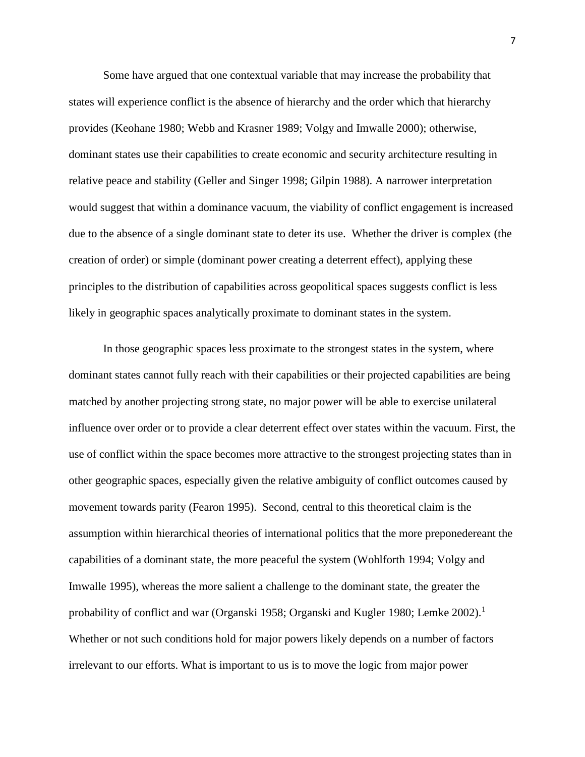Some have argued that one contextual variable that may increase the probability that states will experience conflict is the absence of hierarchy and the order which that hierarchy provides (Keohane 1980; Webb and Krasner 1989; Volgy and Imwalle 2000); otherwise, dominant states use their capabilities to create economic and security architecture resulting in relative peace and stability (Geller and Singer 1998; Gilpin 1988). A narrower interpretation would suggest that within a dominance vacuum, the viability of conflict engagement is increased due to the absence of a single dominant state to deter its use. Whether the driver is complex (the creation of order) or simple (dominant power creating a deterrent effect), applying these principles to the distribution of capabilities across geopolitical spaces suggests conflict is less likely in geographic spaces analytically proximate to dominant states in the system.

In those geographic spaces less proximate to the strongest states in the system, where dominant states cannot fully reach with their capabilities or their projected capabilities are being matched by another projecting strong state, no major power will be able to exercise unilateral influence over order or to provide a clear deterrent effect over states within the vacuum. First, the use of conflict within the space becomes more attractive to the strongest projecting states than in other geographic spaces, especially given the relative ambiguity of conflict outcomes caused by movement towards parity (Fearon 1995). Second, central to this theoretical claim is the assumption within hierarchical theories of international politics that the more preponedereant the capabilities of a dominant state, the more peaceful the system (Wohlforth 1994; Volgy and Imwalle 1995), whereas the more salient a challenge to the dominant state, the greater the probability of conflict and war (Organski 1958; Organski and Kugler 1980; Lemke  $2002$ ).<sup>1</sup> Whether or not such conditions hold for major powers likely depends on a number of factors irrelevant to our efforts. What is important to us is to move the logic from major power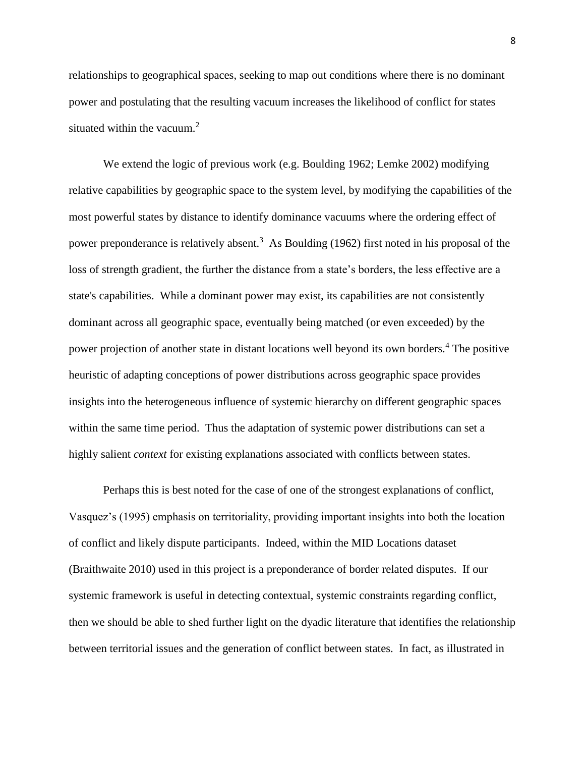relationships to geographical spaces, seeking to map out conditions where there is no dominant power and postulating that the resulting vacuum increases the likelihood of conflict for states situated within the vacuum. $2$ 

We extend the logic of previous work (e.g. Boulding 1962; Lemke 2002) modifying relative capabilities by geographic space to the system level, by modifying the capabilities of the most powerful states by distance to identify dominance vacuums where the ordering effect of power preponderance is relatively absent.<sup>3</sup> As Boulding (1962) first noted in his proposal of the loss of strength gradient, the further the distance from a state's borders, the less effective are a state's capabilities. While a dominant power may exist, its capabilities are not consistently dominant across all geographic space, eventually being matched (or even exceeded) by the power projection of another state in distant locations well beyond its own borders.<sup>4</sup> The positive heuristic of adapting conceptions of power distributions across geographic space provides insights into the heterogeneous influence of systemic hierarchy on different geographic spaces within the same time period. Thus the adaptation of systemic power distributions can set a highly salient *context* for existing explanations associated with conflicts between states.

Perhaps this is best noted for the case of one of the strongest explanations of conflict, Vasquez's (1995) emphasis on territoriality, providing important insights into both the location of conflict and likely dispute participants. Indeed, within the MID Locations dataset (Braithwaite 2010) used in this project is a preponderance of border related disputes. If our systemic framework is useful in detecting contextual, systemic constraints regarding conflict, then we should be able to shed further light on the dyadic literature that identifies the relationship between territorial issues and the generation of conflict between states. In fact, as illustrated in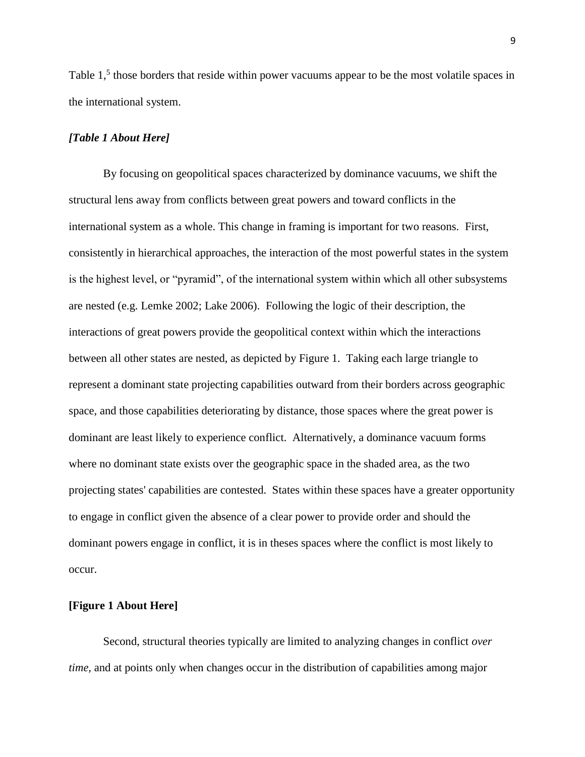Table 1,<sup>5</sup> those borders that reside within power vacuums appear to be the most volatile spaces in the international system.

# *[Table 1 About Here]*

By focusing on geopolitical spaces characterized by dominance vacuums, we shift the structural lens away from conflicts between great powers and toward conflicts in the international system as a whole. This change in framing is important for two reasons. First, consistently in hierarchical approaches, the interaction of the most powerful states in the system is the highest level, or "pyramid", of the international system within which all other subsystems are nested (e.g. Lemke 2002; Lake 2006). Following the logic of their description, the interactions of great powers provide the geopolitical context within which the interactions between all other states are nested, as depicted by Figure 1. Taking each large triangle to represent a dominant state projecting capabilities outward from their borders across geographic space, and those capabilities deteriorating by distance, those spaces where the great power is dominant are least likely to experience conflict. Alternatively, a dominance vacuum forms where no dominant state exists over the geographic space in the shaded area, as the two projecting states' capabilities are contested. States within these spaces have a greater opportunity to engage in conflict given the absence of a clear power to provide order and should the dominant powers engage in conflict, it is in theses spaces where the conflict is most likely to occur.

# **[Figure 1 About Here]**

Second, structural theories typically are limited to analyzing changes in conflict *over time,* and at points only when changes occur in the distribution of capabilities among major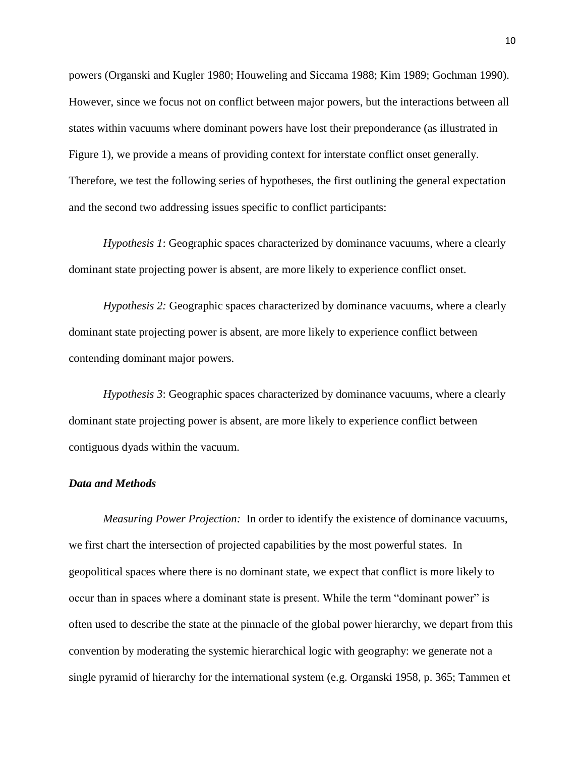powers (Organski and Kugler 1980; Houweling and Siccama 1988; Kim 1989; Gochman 1990). However, since we focus not on conflict between major powers, but the interactions between all states within vacuums where dominant powers have lost their preponderance (as illustrated in Figure 1), we provide a means of providing context for interstate conflict onset generally. Therefore, we test the following series of hypotheses, the first outlining the general expectation and the second two addressing issues specific to conflict participants:

*Hypothesis 1*: Geographic spaces characterized by dominance vacuums, where a clearly dominant state projecting power is absent, are more likely to experience conflict onset.

*Hypothesis 2:* Geographic spaces characterized by dominance vacuums, where a clearly dominant state projecting power is absent, are more likely to experience conflict between contending dominant major powers.

*Hypothesis 3*: Geographic spaces characterized by dominance vacuums, where a clearly dominant state projecting power is absent, are more likely to experience conflict between contiguous dyads within the vacuum.

#### *Data and Methods*

*Measuring Power Projection:*In order to identify the existence of dominance vacuums, we first chart the intersection of projected capabilities by the most powerful states. In geopolitical spaces where there is no dominant state, we expect that conflict is more likely to occur than in spaces where a dominant state is present. While the term "dominant power" is often used to describe the state at the pinnacle of the global power hierarchy, we depart from this convention by moderating the systemic hierarchical logic with geography: we generate not a single pyramid of hierarchy for the international system (e.g. Organski 1958, p. 365; Tammen et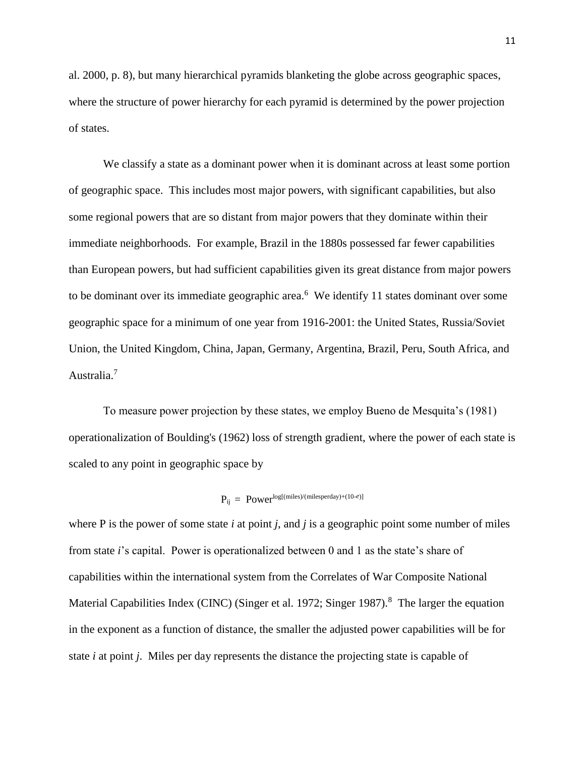al. 2000, p. 8), but many hierarchical pyramids blanketing the globe across geographic spaces, where the structure of power hierarchy for each pyramid is determined by the power projection of states.

We classify a state as a dominant power when it is dominant across at least some portion of geographic space. This includes most major powers, with significant capabilities, but also some regional powers that are so distant from major powers that they dominate within their immediate neighborhoods. For example, Brazil in the 1880s possessed far fewer capabilities than European powers, but had sufficient capabilities given its great distance from major powers to be dominant over its immediate geographic area. $6$  We identify 11 states dominant over some geographic space for a minimum of one year from 1916-2001: the United States, Russia/Soviet Union, the United Kingdom, China, Japan, Germany, Argentina, Brazil, Peru, South Africa, and Australia.<sup>7</sup>

To measure power projection by these states, we employ Bueno de Mesquita's (1981) operationalization of Boulding's (1962) loss of strength gradient, where the power of each state is scaled to any point in geographic space by

#### Pij = Powerlog[(miles)/(milesperday)+(10-*e*)]

where P is the power of some state *i* at point *j*, and *j* is a geographic point some number of miles from state *i*'s capital. Power is operationalized between 0 and 1 as the state's share of capabilities within the international system from the Correlates of War Composite National Material Capabilities Index (CINC) (Singer et al. 1972; Singer 1987).<sup>8</sup> The larger the equation in the exponent as a function of distance, the smaller the adjusted power capabilities will be for state *i* at point *j*. Miles per day represents the distance the projecting state is capable of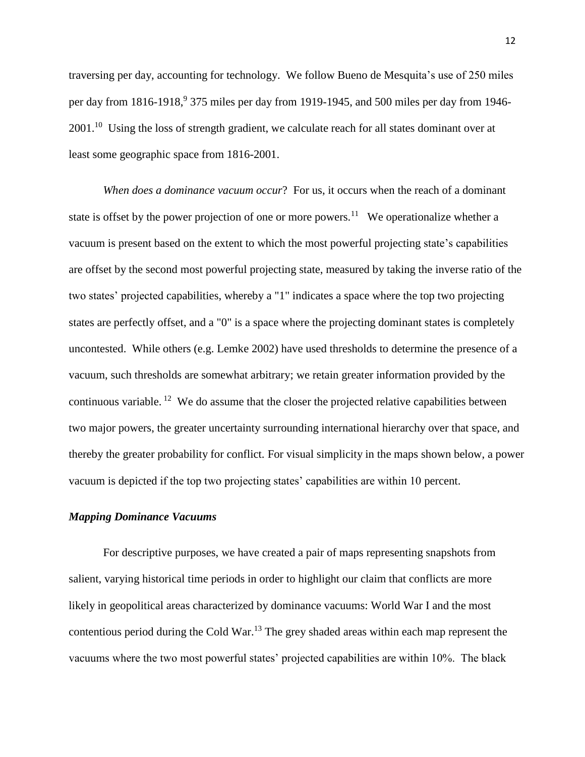traversing per day, accounting for technology. We follow Bueno de Mesquita's use of 250 miles per day from 1816-1918,<sup>9</sup> 375 miles per day from 1919-1945, and 500 miles per day from 1946-2001.<sup>10</sup> Using the loss of strength gradient, we calculate reach for all states dominant over at least some geographic space from 1816-2001.

*When does a dominance vacuum occur*? For us, it occurs when the reach of a dominant state is offset by the power projection of one or more powers.<sup>11</sup> We operationalize whether a vacuum is present based on the extent to which the most powerful projecting state's capabilities are offset by the second most powerful projecting state, measured by taking the inverse ratio of the two states' projected capabilities, whereby a "1" indicates a space where the top two projecting states are perfectly offset, and a "0" is a space where the projecting dominant states is completely uncontested. While others (e.g. Lemke 2002) have used thresholds to determine the presence of a vacuum, such thresholds are somewhat arbitrary; we retain greater information provided by the continuous variable. <sup>12</sup> We do assume that the closer the projected relative capabilities between two major powers, the greater uncertainty surrounding international hierarchy over that space, and thereby the greater probability for conflict. For visual simplicity in the maps shown below, a power vacuum is depicted if the top two projecting states' capabilities are within 10 percent.

# *Mapping Dominance Vacuums*

For descriptive purposes, we have created a pair of maps representing snapshots from salient, varying historical time periods in order to highlight our claim that conflicts are more likely in geopolitical areas characterized by dominance vacuums: World War I and the most contentious period during the Cold War.<sup>13</sup> The grey shaded areas within each map represent the vacuums where the two most powerful states' projected capabilities are within 10%. The black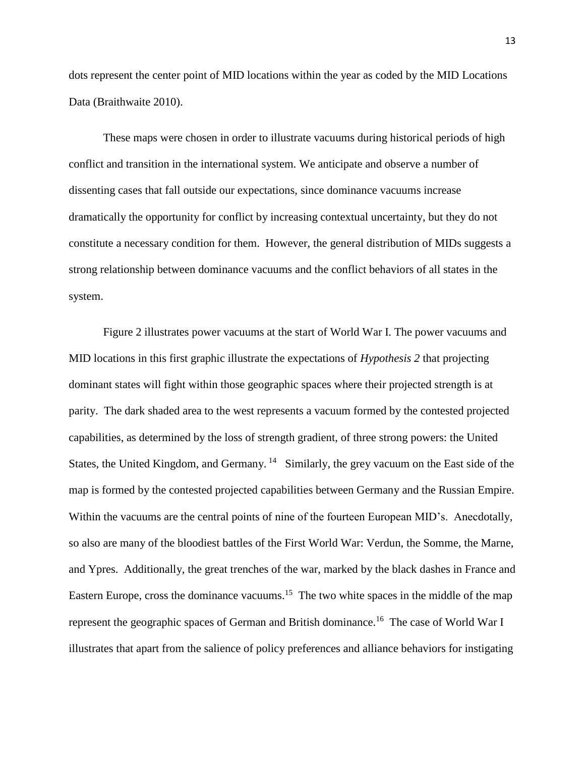dots represent the center point of MID locations within the year as coded by the MID Locations Data (Braithwaite 2010).

These maps were chosen in order to illustrate vacuums during historical periods of high conflict and transition in the international system. We anticipate and observe a number of dissenting cases that fall outside our expectations, since dominance vacuums increase dramatically the opportunity for conflict by increasing contextual uncertainty, but they do not constitute a necessary condition for them. However, the general distribution of MIDs suggests a strong relationship between dominance vacuums and the conflict behaviors of all states in the system.

Figure 2 illustrates power vacuums at the start of World War I. The power vacuums and MID locations in this first graphic illustrate the expectations of *Hypothesis 2* that projecting dominant states will fight within those geographic spaces where their projected strength is at parity. The dark shaded area to the west represents a vacuum formed by the contested projected capabilities, as determined by the loss of strength gradient, of three strong powers: the United States, the United Kingdom, and Germany.  $14$  Similarly, the grey vacuum on the East side of the map is formed by the contested projected capabilities between Germany and the Russian Empire. Within the vacuums are the central points of nine of the fourteen European MID's. Anecdotally, so also are many of the bloodiest battles of the First World War: Verdun, the Somme, the Marne, and Ypres. Additionally, the great trenches of the war, marked by the black dashes in France and Eastern Europe, cross the dominance vacuums.<sup>15</sup> The two white spaces in the middle of the map represent the geographic spaces of German and British dominance.<sup>16</sup> The case of World War I illustrates that apart from the salience of policy preferences and alliance behaviors for instigating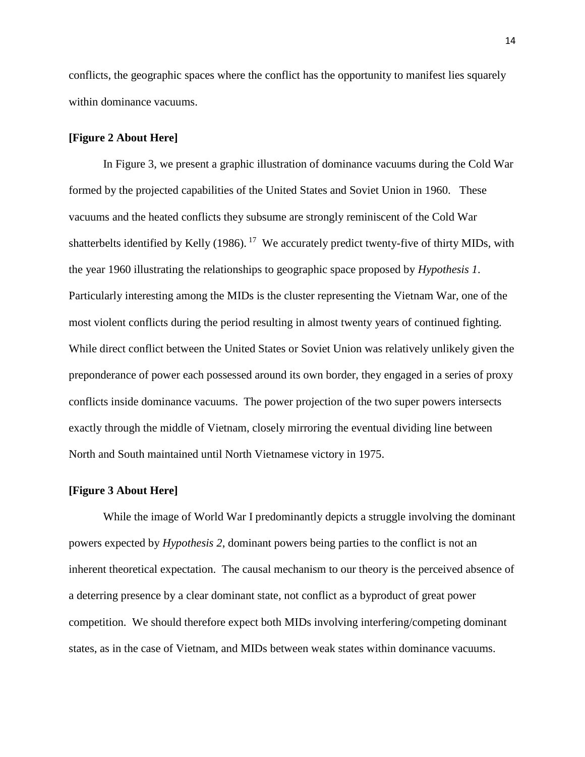conflicts, the geographic spaces where the conflict has the opportunity to manifest lies squarely within dominance vacuums.

## **[Figure 2 About Here]**

In Figure 3, we present a graphic illustration of dominance vacuums during the Cold War formed by the projected capabilities of the United States and Soviet Union in 1960. These vacuums and the heated conflicts they subsume are strongly reminiscent of the Cold War shatterbelts identified by Kelly (1986).<sup>17</sup> We accurately predict twenty-five of thirty MIDs, with the year 1960 illustrating the relationships to geographic space proposed by *Hypothesis 1*. Particularly interesting among the MIDs is the cluster representing the Vietnam War, one of the most violent conflicts during the period resulting in almost twenty years of continued fighting. While direct conflict between the United States or Soviet Union was relatively unlikely given the preponderance of power each possessed around its own border, they engaged in a series of proxy conflicts inside dominance vacuums. The power projection of the two super powers intersects exactly through the middle of Vietnam, closely mirroring the eventual dividing line between North and South maintained until North Vietnamese victory in 1975.

#### **[Figure 3 About Here]**

While the image of World War I predominantly depicts a struggle involving the dominant powers expected by *Hypothesis 2*, dominant powers being parties to the conflict is not an inherent theoretical expectation. The causal mechanism to our theory is the perceived absence of a deterring presence by a clear dominant state, not conflict as a byproduct of great power competition. We should therefore expect both MIDs involving interfering/competing dominant states, as in the case of Vietnam, and MIDs between weak states within dominance vacuums.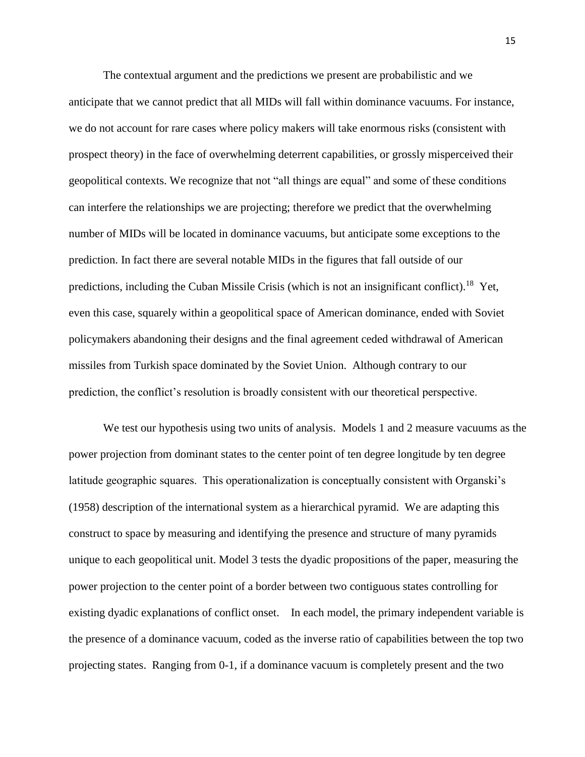The contextual argument and the predictions we present are probabilistic and we anticipate that we cannot predict that all MIDs will fall within dominance vacuums. For instance, we do not account for rare cases where policy makers will take enormous risks (consistent with prospect theory) in the face of overwhelming deterrent capabilities, or grossly misperceived their geopolitical contexts. We recognize that not "all things are equal" and some of these conditions can interfere the relationships we are projecting; therefore we predict that the overwhelming number of MIDs will be located in dominance vacuums, but anticipate some exceptions to the prediction. In fact there are several notable MIDs in the figures that fall outside of our predictions, including the Cuban Missile Crisis (which is not an insignificant conflict).<sup>18</sup> Yet, even this case, squarely within a geopolitical space of American dominance, ended with Soviet policymakers abandoning their designs and the final agreement ceded withdrawal of American missiles from Turkish space dominated by the Soviet Union. Although contrary to our prediction, the conflict's resolution is broadly consistent with our theoretical perspective.

We test our hypothesis using two units of analysis. Models 1 and 2 measure vacuums as the power projection from dominant states to the center point of ten degree longitude by ten degree latitude geographic squares. This operationalization is conceptually consistent with Organski's (1958) description of the international system as a hierarchical pyramid. We are adapting this construct to space by measuring and identifying the presence and structure of many pyramids unique to each geopolitical unit. Model 3 tests the dyadic propositions of the paper, measuring the power projection to the center point of a border between two contiguous states controlling for existing dyadic explanations of conflict onset. In each model, the primary independent variable is the presence of a dominance vacuum, coded as the inverse ratio of capabilities between the top two projecting states. Ranging from 0-1, if a dominance vacuum is completely present and the two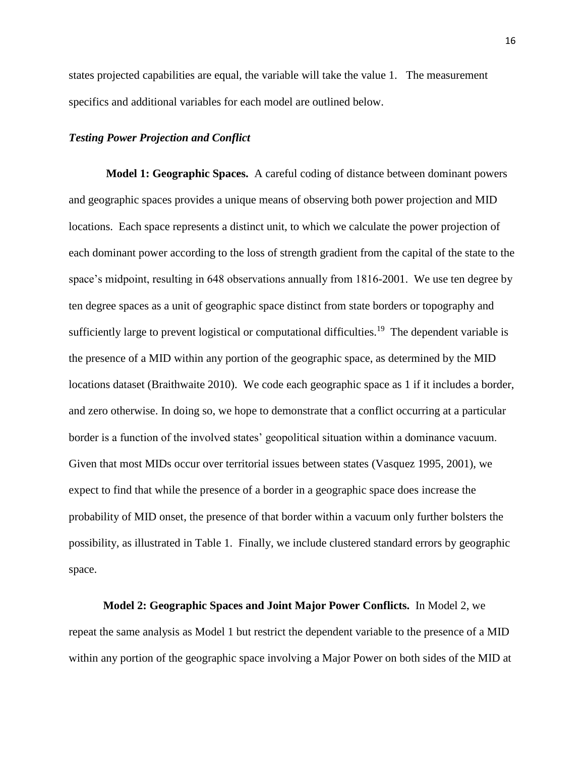states projected capabilities are equal, the variable will take the value 1. The measurement specifics and additional variables for each model are outlined below.

### *Testing Power Projection and Conflict*

**Model 1: Geographic Spaces.** A careful coding of distance between dominant powers and geographic spaces provides a unique means of observing both power projection and MID locations. Each space represents a distinct unit, to which we calculate the power projection of each dominant power according to the loss of strength gradient from the capital of the state to the space's midpoint, resulting in 648 observations annually from 1816-2001. We use ten degree by ten degree spaces as a unit of geographic space distinct from state borders or topography and sufficiently large to prevent logistical or computational difficulties.<sup>19</sup> The dependent variable is the presence of a MID within any portion of the geographic space, as determined by the MID locations dataset (Braithwaite 2010). We code each geographic space as 1 if it includes a border, and zero otherwise. In doing so, we hope to demonstrate that a conflict occurring at a particular border is a function of the involved states' geopolitical situation within a dominance vacuum. Given that most MIDs occur over territorial issues between states (Vasquez 1995, 2001), we expect to find that while the presence of a border in a geographic space does increase the probability of MID onset, the presence of that border within a vacuum only further bolsters the possibility, as illustrated in Table 1. Finally, we include clustered standard errors by geographic space.

**Model 2: Geographic Spaces and Joint Major Power Conflicts.** In Model 2, we repeat the same analysis as Model 1 but restrict the dependent variable to the presence of a MID within any portion of the geographic space involving a Major Power on both sides of the MID at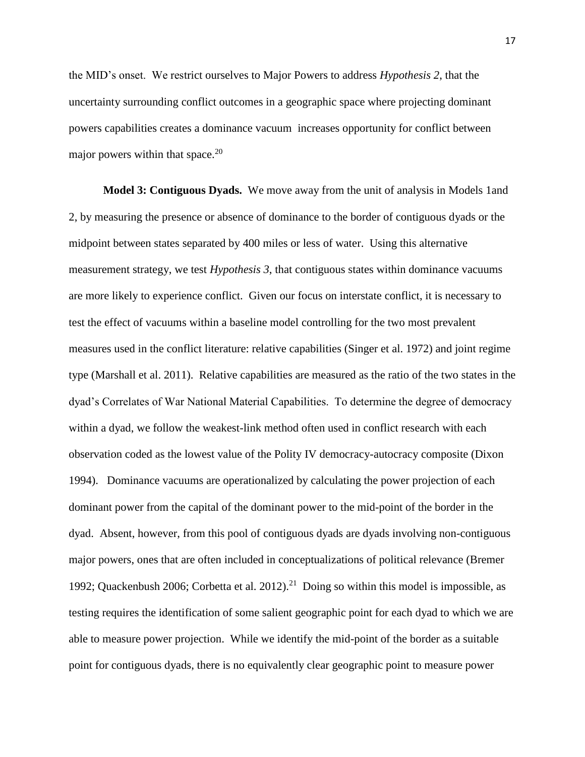the MID's onset. We restrict ourselves to Major Powers to address *Hypothesis 2*, that the uncertainty surrounding conflict outcomes in a geographic space where projecting dominant powers capabilities creates a dominance vacuum increases opportunity for conflict between major powers within that space. $^{20}$ 

**Model 3: Contiguous Dyads.** We move away from the unit of analysis in Models 1and 2, by measuring the presence or absence of dominance to the border of contiguous dyads or the midpoint between states separated by 400 miles or less of water. Using this alternative measurement strategy, we test *Hypothesis 3*, that contiguous states within dominance vacuums are more likely to experience conflict. Given our focus on interstate conflict, it is necessary to test the effect of vacuums within a baseline model controlling for the two most prevalent measures used in the conflict literature: relative capabilities (Singer et al. 1972) and joint regime type (Marshall et al. 2011). Relative capabilities are measured as the ratio of the two states in the dyad's Correlates of War National Material Capabilities. To determine the degree of democracy within a dyad, we follow the weakest-link method often used in conflict research with each observation coded as the lowest value of the Polity IV democracy-autocracy composite (Dixon 1994). Dominance vacuums are operationalized by calculating the power projection of each dominant power from the capital of the dominant power to the mid-point of the border in the dyad. Absent, however, from this pool of contiguous dyads are dyads involving non-contiguous major powers, ones that are often included in conceptualizations of political relevance (Bremer 1992; Quackenbush 2006; Corbetta et al.  $2012$ ).<sup>21</sup> Doing so within this model is impossible, as testing requires the identification of some salient geographic point for each dyad to which we are able to measure power projection. While we identify the mid-point of the border as a suitable point for contiguous dyads, there is no equivalently clear geographic point to measure power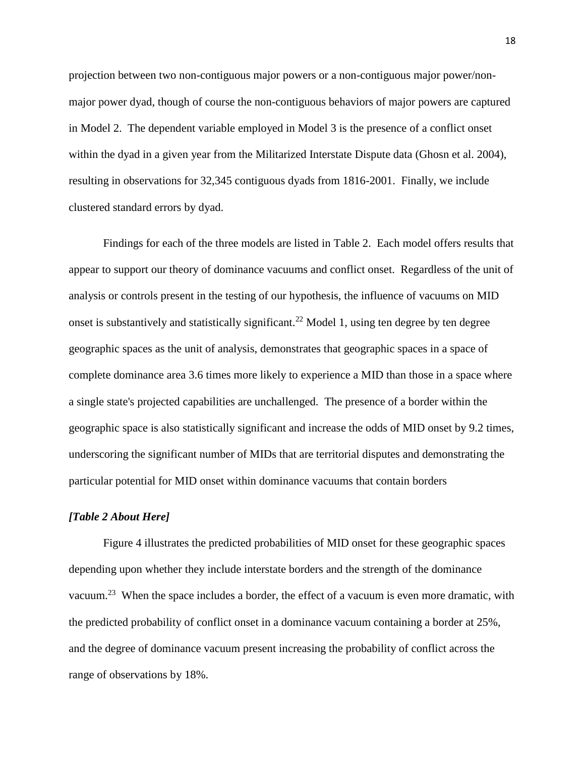projection between two non-contiguous major powers or a non-contiguous major power/nonmajor power dyad, though of course the non-contiguous behaviors of major powers are captured in Model 2. The dependent variable employed in Model 3 is the presence of a conflict onset within the dyad in a given year from the Militarized Interstate Dispute data (Ghosn et al. 2004), resulting in observations for 32,345 contiguous dyads from 1816-2001. Finally, we include clustered standard errors by dyad.

Findings for each of the three models are listed in Table 2. Each model offers results that appear to support our theory of dominance vacuums and conflict onset. Regardless of the unit of analysis or controls present in the testing of our hypothesis, the influence of vacuums on MID onset is substantively and statistically significant.<sup>22</sup> Model 1, using ten degree by ten degree geographic spaces as the unit of analysis, demonstrates that geographic spaces in a space of complete dominance area 3.6 times more likely to experience a MID than those in a space where a single state's projected capabilities are unchallenged. The presence of a border within the geographic space is also statistically significant and increase the odds of MID onset by 9.2 times, underscoring the significant number of MIDs that are territorial disputes and demonstrating the particular potential for MID onset within dominance vacuums that contain borders

## *[Table 2 About Here]*

Figure 4 illustrates the predicted probabilities of MID onset for these geographic spaces depending upon whether they include interstate borders and the strength of the dominance vacuum.<sup>23</sup> When the space includes a border, the effect of a vacuum is even more dramatic, with the predicted probability of conflict onset in a dominance vacuum containing a border at 25%, and the degree of dominance vacuum present increasing the probability of conflict across the range of observations by 18%.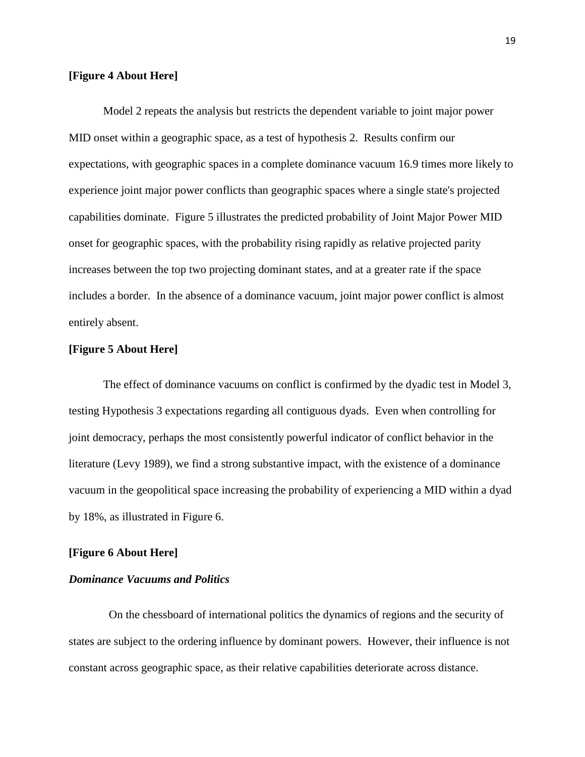# **[Figure 4 About Here]**

Model 2 repeats the analysis but restricts the dependent variable to joint major power MID onset within a geographic space, as a test of hypothesis 2. Results confirm our expectations, with geographic spaces in a complete dominance vacuum 16.9 times more likely to experience joint major power conflicts than geographic spaces where a single state's projected capabilities dominate. Figure 5 illustrates the predicted probability of Joint Major Power MID onset for geographic spaces, with the probability rising rapidly as relative projected parity increases between the top two projecting dominant states, and at a greater rate if the space includes a border. In the absence of a dominance vacuum, joint major power conflict is almost entirely absent.

# **[Figure 5 About Here]**

The effect of dominance vacuums on conflict is confirmed by the dyadic test in Model 3, testing Hypothesis 3 expectations regarding all contiguous dyads. Even when controlling for joint democracy, perhaps the most consistently powerful indicator of conflict behavior in the literature (Levy 1989), we find a strong substantive impact, with the existence of a dominance vacuum in the geopolitical space increasing the probability of experiencing a MID within a dyad by 18%, as illustrated in Figure 6.

## **[Figure 6 About Here]**

# *Dominance Vacuums and Politics*

 On the chessboard of international politics the dynamics of regions and the security of states are subject to the ordering influence by dominant powers. However, their influence is not constant across geographic space, as their relative capabilities deteriorate across distance.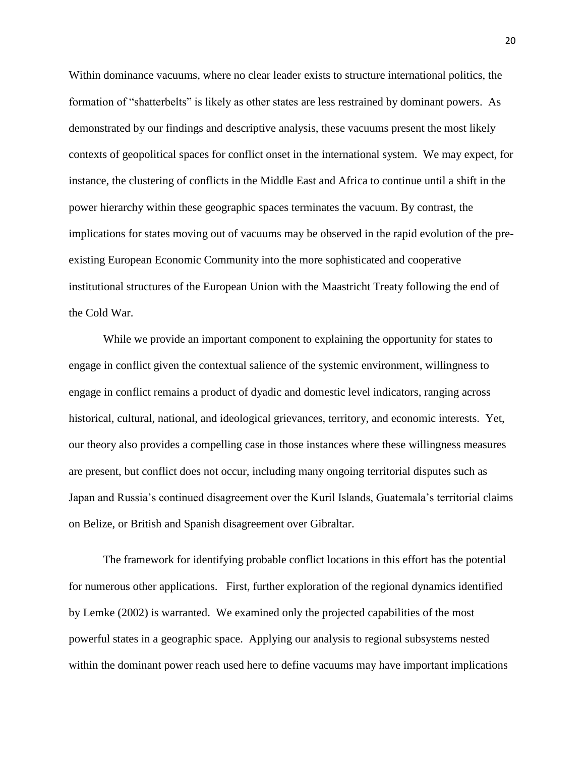Within dominance vacuums, where no clear leader exists to structure international politics, the formation of "shatterbelts" is likely as other states are less restrained by dominant powers. As demonstrated by our findings and descriptive analysis, these vacuums present the most likely contexts of geopolitical spaces for conflict onset in the international system. We may expect, for instance, the clustering of conflicts in the Middle East and Africa to continue until a shift in the power hierarchy within these geographic spaces terminates the vacuum. By contrast, the implications for states moving out of vacuums may be observed in the rapid evolution of the preexisting European Economic Community into the more sophisticated and cooperative institutional structures of the European Union with the Maastricht Treaty following the end of the Cold War.

While we provide an important component to explaining the opportunity for states to engage in conflict given the contextual salience of the systemic environment, willingness to engage in conflict remains a product of dyadic and domestic level indicators, ranging across historical, cultural, national, and ideological grievances, territory, and economic interests. Yet, our theory also provides a compelling case in those instances where these willingness measures are present, but conflict does not occur, including many ongoing territorial disputes such as Japan and Russia's continued disagreement over the Kuril Islands, Guatemala's territorial claims on Belize, or British and Spanish disagreement over Gibraltar.

The framework for identifying probable conflict locations in this effort has the potential for numerous other applications. First, further exploration of the regional dynamics identified by Lemke (2002) is warranted. We examined only the projected capabilities of the most powerful states in a geographic space. Applying our analysis to regional subsystems nested within the dominant power reach used here to define vacuums may have important implications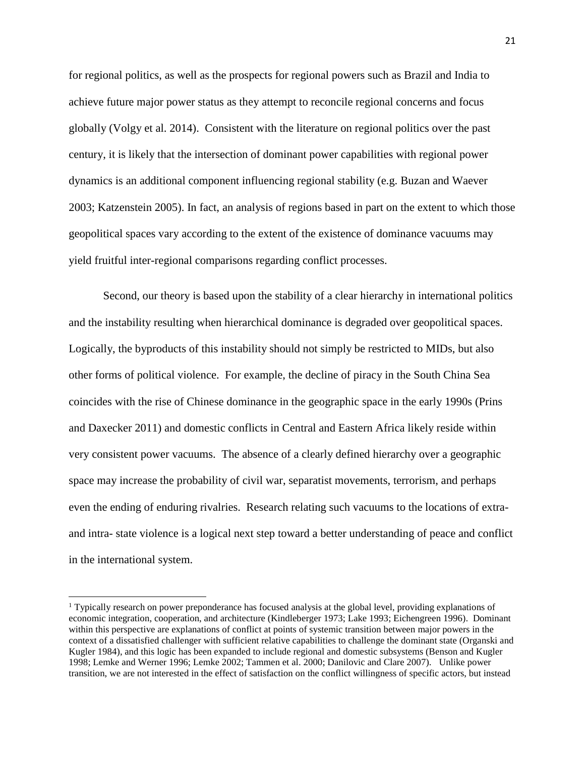for regional politics, as well as the prospects for regional powers such as Brazil and India to achieve future major power status as they attempt to reconcile regional concerns and focus globally (Volgy et al. 2014). Consistent with the literature on regional politics over the past century, it is likely that the intersection of dominant power capabilities with regional power dynamics is an additional component influencing regional stability (e.g. Buzan and Waever 2003; Katzenstein 2005). In fact, an analysis of regions based in part on the extent to which those geopolitical spaces vary according to the extent of the existence of dominance vacuums may yield fruitful inter-regional comparisons regarding conflict processes.

Second, our theory is based upon the stability of a clear hierarchy in international politics and the instability resulting when hierarchical dominance is degraded over geopolitical spaces. Logically, the byproducts of this instability should not simply be restricted to MIDs, but also other forms of political violence. For example, the decline of piracy in the South China Sea coincides with the rise of Chinese dominance in the geographic space in the early 1990s (Prins and Daxecker 2011) and domestic conflicts in Central and Eastern Africa likely reside within very consistent power vacuums. The absence of a clearly defined hierarchy over a geographic space may increase the probability of civil war, separatist movements, terrorism, and perhaps even the ending of enduring rivalries. Research relating such vacuums to the locations of extraand intra- state violence is a logical next step toward a better understanding of peace and conflict in the international system.

 $\overline{\phantom{a}}$ 

<sup>1</sup> Typically research on power preponderance has focused analysis at the global level, providing explanations of economic integration, cooperation, and architecture (Kindleberger 1973; Lake 1993; Eichengreen 1996). Dominant within this perspective are explanations of conflict at points of systemic transition between major powers in the context of a dissatisfied challenger with sufficient relative capabilities to challenge the dominant state (Organski and Kugler 1984), and this logic has been expanded to include regional and domestic subsystems (Benson and Kugler 1998; Lemke and Werner 1996; Lemke 2002; Tammen et al. 2000; Danilovic and Clare 2007). Unlike power transition, we are not interested in the effect of satisfaction on the conflict willingness of specific actors, but instead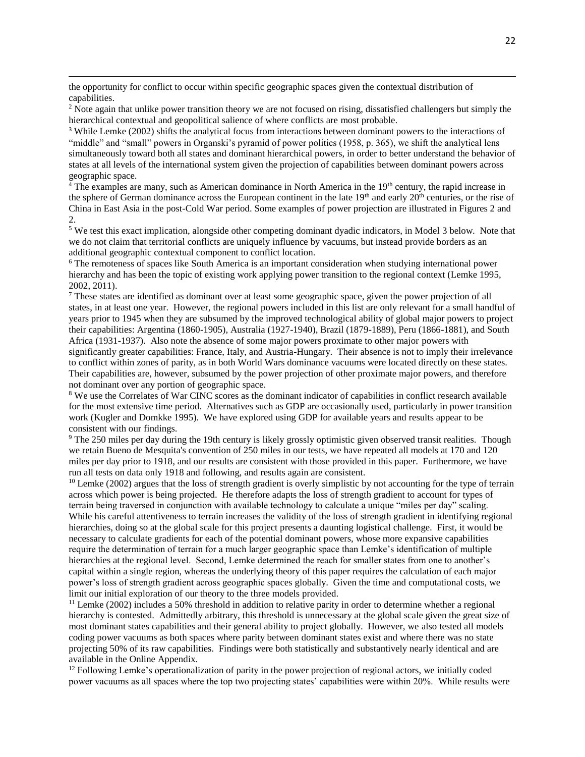the opportunity for conflict to occur within specific geographic spaces given the contextual distribution of capabilities.

 $\overline{\phantom{a}}$ 

<sup>2</sup> Note again that unlike power transition theory we are not focused on rising, dissatisfied challengers but simply the hierarchical contextual and geopolitical salience of where conflicts are most probable.

<sup>3</sup> While Lemke (2002) shifts the analytical focus from interactions between dominant powers to the interactions of "middle" and "small" powers in Organski's pyramid of power politics (1958, p. 365), we shift the analytical lens simultaneously toward both all states and dominant hierarchical powers, in order to better understand the behavior of states at all levels of the international system given the projection of capabilities between dominant powers across geographic space.

 $4$  The examples are many, such as American dominance in North America in the 19<sup>th</sup> century, the rapid increase in the sphere of German dominance across the European continent in the late  $19<sup>th</sup>$  and early  $20<sup>th</sup>$  centuries, or the rise of China in East Asia in the post-Cold War period. Some examples of power projection are illustrated in Figures 2 and 2.

<sup>5</sup> We test this exact implication, alongside other competing dominant dyadic indicators, in Model 3 below. Note that we do not claim that territorial conflicts are uniquely influence by vacuums, but instead provide borders as an additional geographic contextual component to conflict location.

<sup>6</sup> The remoteness of spaces like South America is an important consideration when studying international power hierarchy and has been the topic of existing work applying power transition to the regional context (Lemke 1995, 2002, 2011).

<sup>7</sup> These states are identified as dominant over at least some geographic space, given the power projection of all states, in at least one year. However, the regional powers included in this list are only relevant for a small handful of years prior to 1945 when they are subsumed by the improved technological ability of global major powers to project their capabilities: Argentina (1860-1905), Australia (1927-1940), Brazil (1879-1889), Peru (1866-1881), and South Africa (1931-1937). Also note the absence of some major powers proximate to other major powers with significantly greater capabilities: France, Italy, and Austria-Hungary. Their absence is not to imply their irrelevance to conflict within zones of parity, as in both World Wars dominance vacuums were located directly on these states. Their capabilities are, however, subsumed by the power projection of other proximate major powers, and therefore not dominant over any portion of geographic space.

<sup>8</sup> We use the Correlates of War CINC scores as the dominant indicator of capabilities in conflict research available for the most extensive time period. Alternatives such as GDP are occasionally used, particularly in power transition work (Kugler and Domkke 1995). We have explored using GDP for available years and results appear to be consistent with our findings.

<sup>9</sup> The 250 miles per day during the 19th century is likely grossly optimistic given observed transit realities. Though we retain Bueno de Mesquita's convention of 250 miles in our tests, we have repeated all models at 170 and 120 miles per day prior to 1918, and our results are consistent with those provided in this paper. Furthermore, we have run all tests on data only 1918 and following, and results again are consistent.

 $10$  Lemke (2002) argues that the loss of strength gradient is overly simplistic by not accounting for the type of terrain across which power is being projected. He therefore adapts the loss of strength gradient to account for types of terrain being traversed in conjunction with available technology to calculate a unique "miles per day" scaling. While his careful attentiveness to terrain increases the validity of the loss of strength gradient in identifying regional hierarchies, doing so at the global scale for this project presents a daunting logistical challenge. First, it would be necessary to calculate gradients for each of the potential dominant powers, whose more expansive capabilities require the determination of terrain for a much larger geographic space than Lemke's identification of multiple hierarchies at the regional level. Second, Lemke determined the reach for smaller states from one to another's capital within a single region, whereas the underlying theory of this paper requires the calculation of each major power's loss of strength gradient across geographic spaces globally. Given the time and computational costs, we limit our initial exploration of our theory to the three models provided.

 $11$  Lemke (2002) includes a 50% threshold in addition to relative parity in order to determine whether a regional hierarchy is contested. Admittedly arbitrary, this threshold is unnecessary at the global scale given the great size of most dominant states capabilities and their general ability to project globally. However, we also tested all models coding power vacuums as both spaces where parity between dominant states exist and where there was no state projecting 50% of its raw capabilities. Findings were both statistically and substantively nearly identical and are available in the Online Appendix.

<sup>12</sup> Following Lemke's operationalization of parity in the power projection of regional actors, we initially coded power vacuums as all spaces where the top two projecting states' capabilities were within 20%. While results were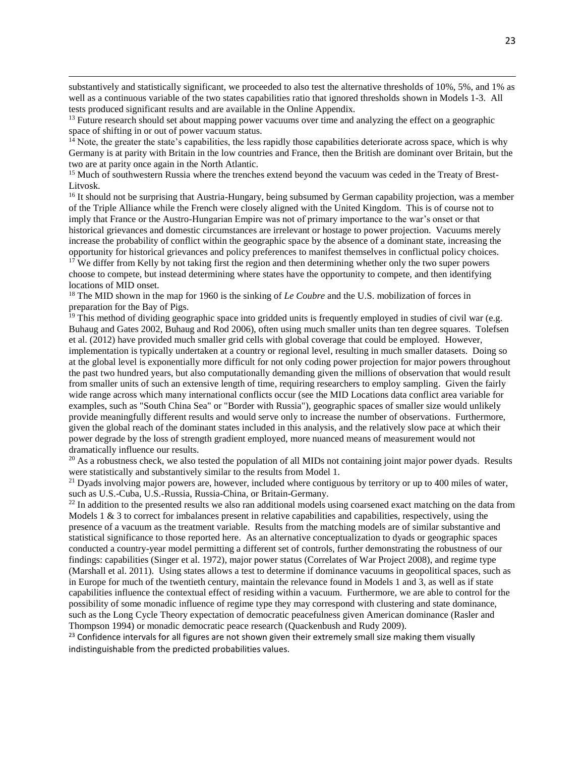substantively and statistically significant, we proceeded to also test the alternative thresholds of 10%, 5%, and 1% as well as a continuous variable of the two states capabilities ratio that ignored thresholds shown in Models 1-3. All tests produced significant results and are available in the Online Appendix.

<sup>13</sup> Future research should set about mapping power vacuums over time and analyzing the effect on a geographic space of shifting in or out of power vacuum status.

 $\overline{\phantom{a}}$ 

 $14$  Note, the greater the state's capabilities, the less rapidly those capabilities deteriorate across space, which is why Germany is at parity with Britain in the low countries and France, then the British are dominant over Britain, but the two are at parity once again in the North Atlantic.

<sup>15</sup> Much of southwestern Russia where the trenches extend beyond the vacuum was ceded in the Treaty of Brest-Litvosk.

<sup>16</sup> It should not be surprising that Austria-Hungary, being subsumed by German capability projection, was a member of the Triple Alliance while the French were closely aligned with the United Kingdom. This is of course not to imply that France or the Austro-Hungarian Empire was not of primary importance to the war's onset or that historical grievances and domestic circumstances are irrelevant or hostage to power projection. Vacuums merely increase the probability of conflict within the geographic space by the absence of a dominant state, increasing the opportunity for historical grievances and policy preferences to manifest themselves in conflictual policy choices. <sup>17</sup> We differ from Kelly by not taking first the region and then determining whether only the two super powers choose to compete, but instead determining where states have the opportunity to compete, and then identifying locations of MID onset.

<sup>18</sup> The MID shown in the map for 1960 is the sinking of *Le Coubre* and the U.S. mobilization of forces in preparation for the Bay of Pigs.

<sup>19</sup> This method of dividing geographic space into gridded units is frequently employed in studies of civil war (e.g. Buhaug and Gates 2002, Buhaug and Rod 2006), often using much smaller units than ten degree squares. Tolefsen et al. (2012) have provided much smaller grid cells with global coverage that could be employed. However, implementation is typically undertaken at a country or regional level, resulting in much smaller datasets. Doing so at the global level is exponentially more difficult for not only coding power projection for major powers throughout the past two hundred years, but also computationally demanding given the millions of observation that would result from smaller units of such an extensive length of time, requiring researchers to employ sampling. Given the fairly wide range across which many international conflicts occur (see the MID Locations data conflict area variable for examples, such as "South China Sea" or "Border with Russia"), geographic spaces of smaller size would unlikely provide meaningfully different results and would serve only to increase the number of observations. Furthermore, given the global reach of the dominant states included in this analysis, and the relatively slow pace at which their power degrade by the loss of strength gradient employed, more nuanced means of measurement would not dramatically influence our results.

 $^{20}$  As a robustness check, we also tested the population of all MIDs not containing joint major power dyads. Results were statistically and substantively similar to the results from Model 1.

<sup>21</sup> Dyads involving major powers are, however, included where contiguous by territory or up to 400 miles of water, such as U.S.-Cuba, U.S.-Russia, Russia-China, or Britain-Germany.

<sup>22</sup> In addition to the presented results we also ran additional models using coarsened exact matching on the data from Models 1  $\&$  3 to correct for imbalances present in relative capabilities and capabilities, respectively, using the presence of a vacuum as the treatment variable. Results from the matching models are of similar substantive and statistical significance to those reported here. As an alternative conceptualization to dyads or geographic spaces conducted a country-year model permitting a different set of controls, further demonstrating the robustness of our findings: capabilities (Singer et al. 1972), major power status (Correlates of War Project 2008), and regime type (Marshall et al. 2011). Using states allows a test to determine if dominance vacuums in geopolitical spaces, such as in Europe for much of the twentieth century, maintain the relevance found in Models 1 and 3, as well as if state capabilities influence the contextual effect of residing within a vacuum. Furthermore, we are able to control for the possibility of some monadic influence of regime type they may correspond with clustering and state dominance, such as the Long Cycle Theory expectation of democratic peacefulness given American dominance (Rasler and Thompson 1994) or monadic democratic peace research (Quackenbush and Rudy 2009).

 $23$  Confidence intervals for all figures are not shown given their extremely small size making them visually indistinguishable from the predicted probabilities values.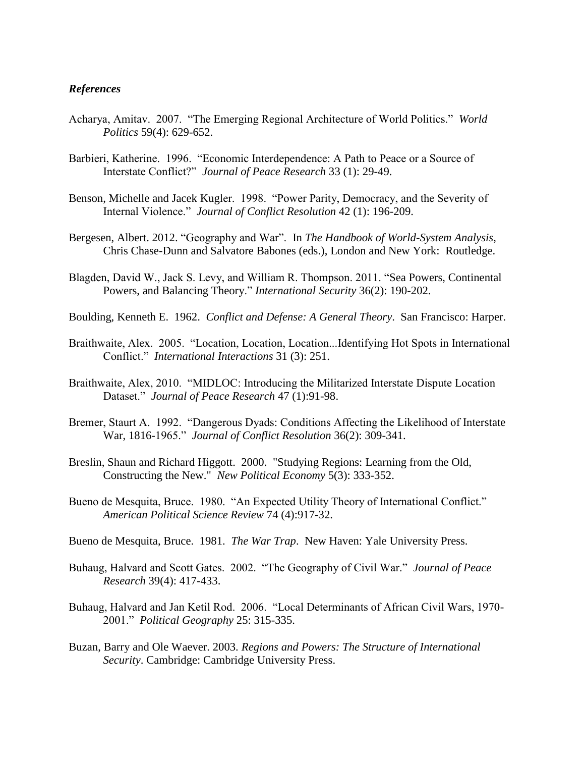# *References*

- Acharya, Amitav. 2007. "The Emerging Regional Architecture of World Politics." *World Politics* 59(4): 629-652.
- Barbieri, Katherine. 1996. "Economic Interdependence: A Path to Peace or a Source of Interstate Conflict?" *Journal of Peace Research* 33 (1): 29-49.
- Benson, Michelle and Jacek Kugler. 1998. "Power Parity, Democracy, and the Severity of Internal Violence." *Journal of Conflict Resolution* 42 (1): 196-209.
- Bergesen, Albert. 2012. "Geography and War". In *The Handbook of World-System Analysis*, Chris Chase-Dunn and Salvatore Babones (eds.), London and New York: Routledge.
- Blagden, David W., Jack S. Levy, and William R. Thompson. 2011. ["Sea Powers, Continental](http://muse.jhu.edu/journals/international_security/v036/36.2.blagden.html)  [Powers, and Balancing Theory.](http://muse.jhu.edu/journals/international_security/v036/36.2.blagden.html)" *International Security* 36(2): 190-202.
- Boulding, Kenneth E. 1962. *Conflict and Defense: A General Theory*. San Francisco: Harper.
- Braithwaite, Alex. 2005. "Location, Location, Location...Identifying Hot Spots in International Conflict." *International Interactions* 31 (3): 251.
- Braithwaite, Alex, 2010. "MIDLOC: Introducing the Militarized Interstate Dispute Location Dataset." *Journal of Peace Research* 47 (1):91-98.
- Bremer, Staurt A. 1992. "Dangerous Dyads: Conditions Affecting the Likelihood of Interstate War, 1816-1965." *Journal of Conflict Resolution* 36(2): 309-341.
- Breslin, Shaun and Richard Higgott. 2000. "Studying Regions: Learning from the Old, Constructing the New." *New Political Economy* 5(3): 333-352.
- Bueno de Mesquita, Bruce. 1980. "An Expected Utility Theory of International Conflict." *American Political Science Review* 74 (4):917-32.
- Bueno de Mesquita, Bruce. 1981. *The War Trap*. New Haven: Yale University Press.
- Buhaug, Halvard and Scott Gates. 2002. "The Geography of Civil War." *Journal of Peace Research* 39(4): 417-433.
- Buhaug, Halvard and Jan Ketil Rod. 2006. "Local Determinants of African Civil Wars, 1970- 2001." *Political Geography* 25: 315-335.
- Buzan, Barry and Ole Waever. 2003. *Regions and Powers: The Structure of International Security*. Cambridge: Cambridge University Press.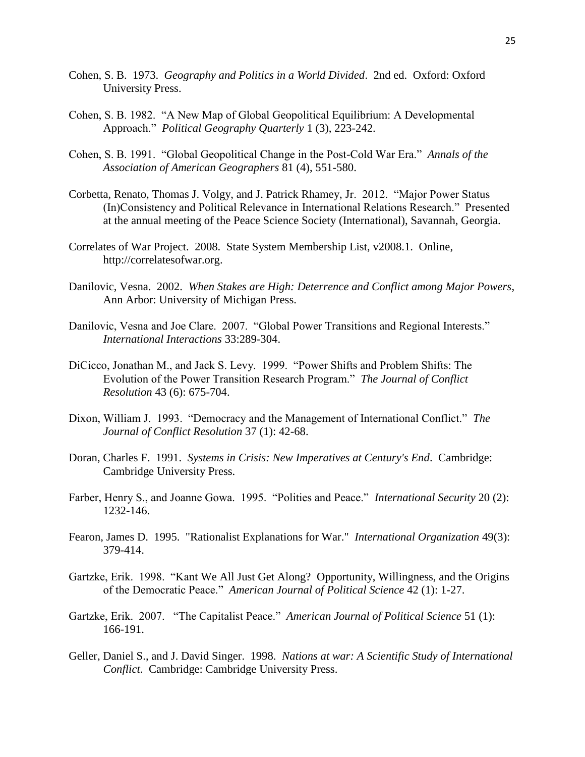- Cohen, S. B. 1973. *Geography and Politics in a World Divided*. 2nd ed. Oxford: Oxford University Press.
- Cohen, S. B. 1982. "A New Map of Global Geopolitical Equilibrium: A Developmental Approach." *Political Geography Quarterly* 1 (3), 223-242.
- Cohen, S. B. 1991. "Global Geopolitical Change in the Post-Cold War Era." *Annals of the Association of American Geographers* 81 (4), 551-580.
- Corbetta, Renato, Thomas J. Volgy, and J. Patrick Rhamey, Jr. 2012. "Major Power Status (In)Consistency and Political Relevance in International Relations Research." Presented at the annual meeting of the Peace Science Society (International), Savannah, Georgia.
- Correlates of War Project. 2008. State System Membership List, v2008.1. Online, http://correlatesofwar.org.
- Danilovic, Vesna. 2002. *When Stakes are High: Deterrence and Conflict among Major Powers*, Ann Arbor: University of Michigan Press.
- Danilovic, Vesna and Joe Clare. 2007. "Global Power Transitions and Regional Interests." *International Interactions* 33:289-304.
- DiCicco, Jonathan M., and Jack S. Levy. 1999. "Power Shifts and Problem Shifts: The Evolution of the Power Transition Research Program." *The Journal of Conflict Resolution* 43 (6): 675-704.
- Dixon, William J. 1993. "Democracy and the Management of International Conflict." *The Journal of Conflict Resolution* 37 (1): 42-68.
- Doran, Charles F. 1991. *Systems in Crisis: New Imperatives at Century's End*. Cambridge: Cambridge University Press.
- Farber, Henry S., and Joanne Gowa. 1995. "Polities and Peace." *International Security* 20 (2): 1232-146.
- Fearon, James D. 1995. "Rationalist Explanations for War." *International Organization* 49(3): 379-414.
- Gartzke, Erik. 1998. "Kant We All Just Get Along? Opportunity, Willingness, and the Origins of the Democratic Peace." *American Journal of Political Science* 42 (1): 1-27.
- Gartzke, Erik. 2007. "The Capitalist Peace." *American Journal of Political Science* 51 (1): 166-191.
- Geller, Daniel S., and J. David Singer. 1998. *Nations at war: A Scientific Study of International Conflict*. Cambridge: Cambridge University Press.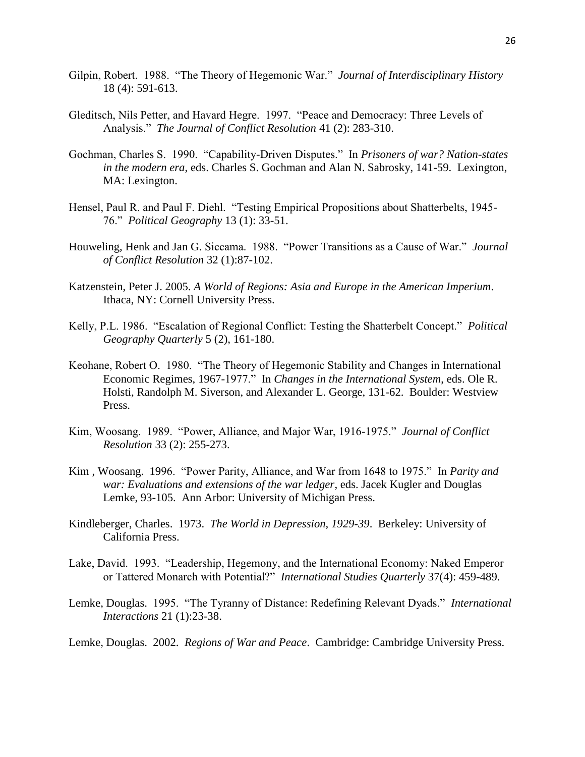- Gilpin, Robert. 1988. "The Theory of Hegemonic War." *Journal of Interdisciplinary History* 18 (4): 591-613.
- Gleditsch, Nils Petter, and Havard Hegre. 1997. "Peace and Democracy: Three Levels of Analysis." *The Journal of Conflict Resolution* 41 (2): 283-310.
- Gochman, Charles S. 1990. "Capability-Driven Disputes." In *Prisoners of war? Nation-states in the modern era*, eds. Charles S. Gochman and Alan N. Sabrosky, 141-59. Lexington, MA: Lexington.
- Hensel, Paul R. and Paul F. Diehl. "Testing Empirical Propositions about Shatterbelts, 1945- 76." *Political Geography* 13 (1): 33-51.
- Houweling, Henk and Jan G. Siccama. 1988. "Power Transitions as a Cause of War." *Journal of Conflict Resolution* 32 (1):87-102.
- Katzenstein, Peter J. 2005. *A World of Regions: Asia and Europe in the American Imperium*. Ithaca, NY: Cornell University Press.
- Kelly, P.L. 1986. "Escalation of Regional Conflict: Testing the Shatterbelt Concept." *Political Geography Quarterly* 5 (2), 161-180.
- Keohane, Robert O. 1980. "The Theory of Hegemonic Stability and Changes in International Economic Regimes, 1967-1977." In *Changes in the International System*, eds. Ole R. Holsti, Randolph M. Siverson, and Alexander L. George, 131-62. Boulder: Westview Press.
- Kim, Woosang. 1989. "Power, Alliance, and Major War, 1916-1975." *Journal of Conflict Resolution* 33 (2): 255-273.
- Kim , Woosang. 1996. "Power Parity, Alliance, and War from 1648 to 1975." In *Parity and war: Evaluations and extensions of the war ledger*, eds. Jacek Kugler and Douglas Lemke, 93-105. Ann Arbor: University of Michigan Press.
- Kindleberger, Charles. 1973. *The World in Depression, 1929-39*. Berkeley: University of California Press.
- Lake, David. 1993. "Leadership, Hegemony, and the International Economy: Naked Emperor or Tattered Monarch with Potential?" *International Studies Quarterly* 37(4): 459-489.
- Lemke, Douglas. 1995. "The Tyranny of Distance: Redefining Relevant Dyads." *International Interactions* 21 (1):23-38.
- Lemke, Douglas. 2002. *Regions of War and Peace*. Cambridge: Cambridge University Press.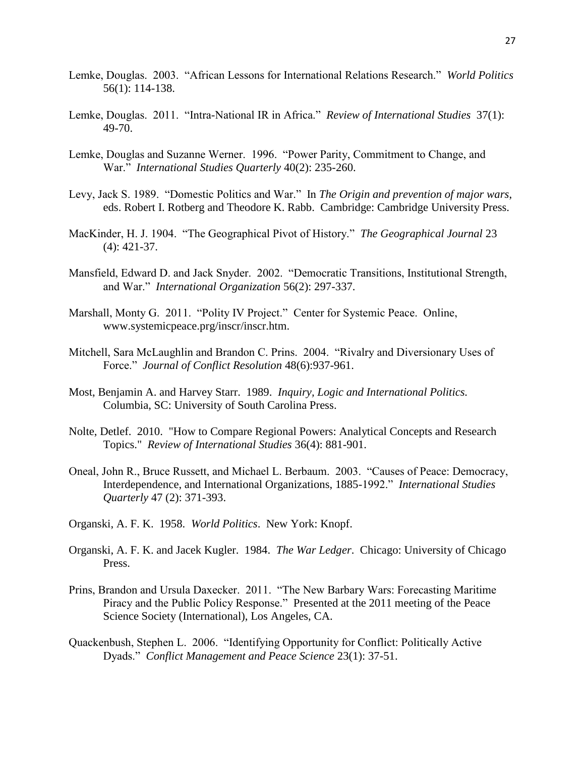- Lemke, Douglas. 2003. "African Lessons for International Relations Research." *World Politics* 56(1): 114-138.
- Lemke, Douglas. 2011. "Intra-National IR in Africa." *Review of International Studies* 37(1): 49-70.
- Lemke, Douglas and Suzanne Werner. 1996. "Power Parity, Commitment to Change, and War." *International Studies Quarterly* 40(2): 235-260.
- Levy, Jack S. 1989. "Domestic Politics and War." In *The Origin and prevention of major wars*, eds. Robert I. Rotberg and Theodore K. Rabb. Cambridge: Cambridge University Press.
- MacKinder, H. J. 1904. "The Geographical Pivot of History." *The Geographical Journal* 23 (4): 421-37.
- Mansfield, Edward D. and Jack Snyder. 2002. "Democratic Transitions, Institutional Strength, and War." *International Organization* 56(2): 297-337.
- Marshall, Monty G. 2011. "Polity IV Project." Center for Systemic Peace. Online, www.systemicpeace.prg/inscr/inscr.htm.
- Mitchell, Sara McLaughlin and Brandon C. Prins. 2004. "Rivalry and Diversionary Uses of Force." *Journal of Conflict Resolution* 48(6):937-961.
- Most, Benjamin A. and Harvey Starr. 1989. *Inquiry, Logic and International Politics.* Columbia, SC: University of South Carolina Press.
- Nolte, Detlef. 2010. "How to Compare Regional Powers: Analytical Concepts and Research Topics." *Review of International Studies* 36(4): 881-901.
- Oneal, John R., Bruce Russett, and Michael L. Berbaum. 2003. "Causes of Peace: Democracy, Interdependence, and International Organizations, 1885-1992." *International Studies Quarterly* 47 (2): 371-393.
- Organski, A. F. K. 1958. *World Politics*. New York: Knopf.
- Organski, A. F. K. and Jacek Kugler. 1984. *The War Ledger*. Chicago: University of Chicago Press.
- Prins, Brandon and Ursula Daxecker. 2011. "The New Barbary Wars: Forecasting Maritime Piracy and the Public Policy Response." Presented at the 2011 meeting of the Peace Science Society (International), Los Angeles, CA.
- Quackenbush, Stephen L. 2006. "Identifying Opportunity for Conflict: Politically Active Dyads." *Conflict Management and Peace Science* 23(1): 37-51.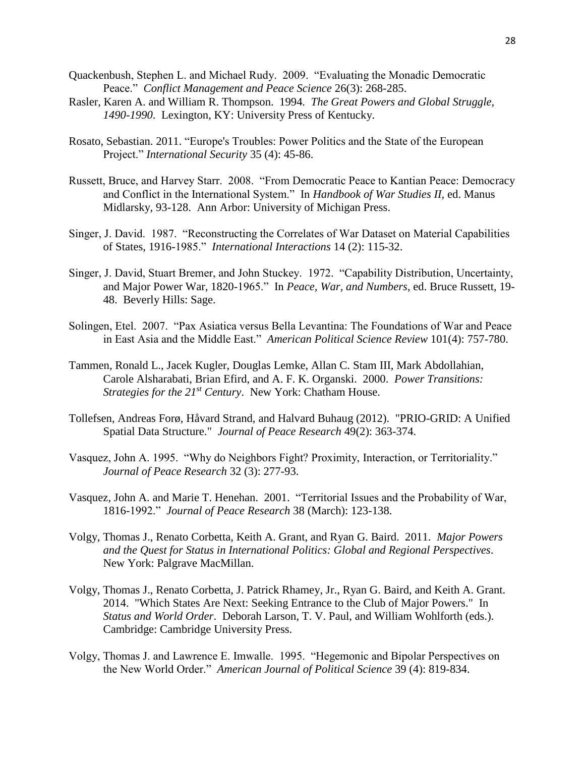- Quackenbush, Stephen L. and Michael Rudy. 2009. "Evaluating the Monadic Democratic Peace." *Conflict Management and Peace Science* 26(3): 268-285.
- Rasler, Karen A. and William R. Thompson. 1994. *The Great Powers and Global Struggle, 1490-1990*. Lexington, KY: University Press of Kentucky.
- Rosato, Sebastian. 2011. "Europe's Troubles: Power Politics and the State of the European Project." *International Security* 35 (4): 45-86.
- Russett, Bruce, and Harvey Starr. 2008. "From Democratic Peace to Kantian Peace: Democracy and Conflict in the International System." In *Handbook of War Studies II,* ed. Manus Midlarsky, 93-128. Ann Arbor: University of Michigan Press.
- Singer, J. David. 1987. "Reconstructing the Correlates of War Dataset on Material Capabilities of States, 1916-1985." *International Interactions* 14 (2): 115-32.
- Singer, J. David, Stuart Bremer, and John Stuckey. 1972. "Capability Distribution, Uncertainty, and Major Power War, 1820-1965." In *Peace, War, and Numbers*, ed. Bruce Russett, 19- 48. Beverly Hills: Sage.
- Solingen, Etel. 2007. "Pax Asiatica versus Bella Levantina: The Foundations of War and Peace in East Asia and the Middle East." *American Political Science Review* 101(4): 757-780.
- Tammen, Ronald L., Jacek Kugler, Douglas Lemke, Allan C. Stam III, Mark Abdollahian, Carole Alsharabati, Brian Efird, and A. F. K. Organski. 2000. *Power Transitions: Strategies for the 21st Century*. New York: Chatham House.
- Tollefsen, Andreas Forø, Håvard Strand, and Halvard Buhaug (2012). "PRIO-GRID: A Unified Spatial Data Structure." *Journal of Peace Research* 49(2): 363-374.
- Vasquez, John A. 1995. "Why do Neighbors Fight? Proximity, Interaction, or Territoriality." *Journal of Peace Research* 32 (3): 277-93.
- Vasquez, John A. and Marie T. Henehan. 2001. "Territorial Issues and the Probability of War, 1816-1992." *Journal of Peace Research* 38 (March): 123-138.
- Volgy, Thomas J., Renato Corbetta, Keith A. Grant, and Ryan G. Baird. 2011. *Major Powers and the Quest for Status in International Politics: Global and Regional Perspectives*. New York: Palgrave MacMillan.
- Volgy, Thomas J., Renato Corbetta, J. Patrick Rhamey, Jr., Ryan G. Baird, and Keith A. Grant. 2014. "Which States Are Next: Seeking Entrance to the Club of Major Powers." In *Status and World Order*. Deborah Larson, T. V. Paul, and William Wohlforth (eds.). Cambridge: Cambridge University Press.
- Volgy, Thomas J. and Lawrence E. Imwalle. 1995. "Hegemonic and Bipolar Perspectives on the New World Order." *American Journal of Political Science* 39 (4): 819-834.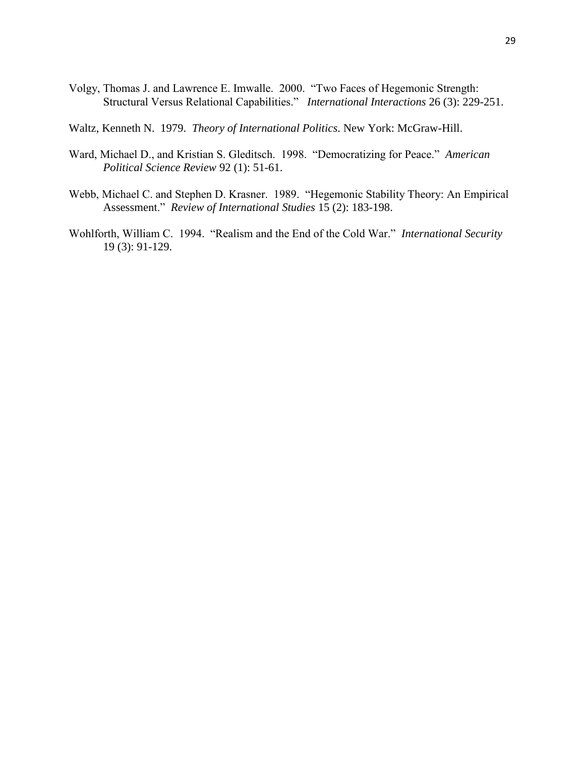Volgy, Thomas J. and Lawrence E. Imwalle. 2000. "Two Faces of Hegemonic Strength: Structural Versus Relational Capabilities." *International Interactions* 26 (3): 229-251.

Waltz, Kenneth N. 1979. *Theory of International Politics*. New York: McGraw-Hill.

- Ward, Michael D., and Kristian S. Gleditsch. 1998. "Democratizing for Peace." *American Political Science Review* 92 (1): 51-61.
- Webb, Michael C. and Stephen D. Krasner. 1989. "Hegemonic Stability Theory: An Empirical Assessment." *Review of International Studies* 15 (2): 183-198.
- Wohlforth, William C. 1994. "Realism and the End of the Cold War." *International Security* 19 (3): 91-129.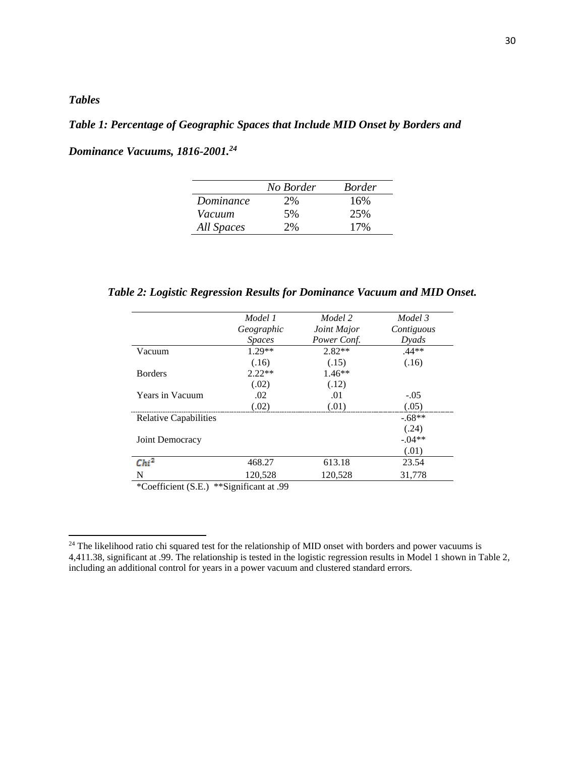# *Tables*

 $\overline{\phantom{a}}$ 

# *Table 1: Percentage of Geographic Spaces that Include MID Onset by Borders and*

|  |  | Dominance Vacuums, 1816-2001. <sup>24</sup> |
|--|--|---------------------------------------------|
|--|--|---------------------------------------------|

|            | No Border | <i>Border</i> |
|------------|-----------|---------------|
| Dominance  | 2%        | 16%           |
| Vacuum     | 5%        | 25%           |
| All Spaces | 2%        | 17%           |

*Table 2: Logistic Regression Results for Dominance Vacuum and MID Onset.*

|                              | Model 1<br>Geographic<br><b>Spaces</b> | Model 2<br>Joint Major<br>Power Conf. | Model 3<br>Contiguous<br>Dyads |
|------------------------------|----------------------------------------|---------------------------------------|--------------------------------|
| Vacuum                       | $1.29**$<br>(.16)                      | $2.82**$<br>(.15)                     | $.44**$<br>(.16)               |
| <b>Borders</b>               | $2.22**$<br>(.02)                      | $1.46**$<br>(.12)                     |                                |
| Years in Vacuum              | .02<br>(.02)                           | .01<br>(.01)                          | $-.05$<br>(.05)                |
| <b>Relative Capabilities</b> |                                        |                                       | $-.68**$<br>(.24)              |
| Joint Democracy              |                                        |                                       | $-.04**$<br>(.01)              |
| $Chi^2$                      | 468.27                                 | 613.18                                | 23.54                          |
| N                            | 120,528                                | 120,528                               | 31,778                         |

\*Coefficient (S.E.) \*\*Significant at .99

<sup>&</sup>lt;sup>24</sup> The likelihood ratio chi squared test for the relationship of MID onset with borders and power vacuums is 4,411.38, significant at .99. The relationship is tested in the logistic regression results in Model 1 shown in Table 2, including an additional control for years in a power vacuum and clustered standard errors.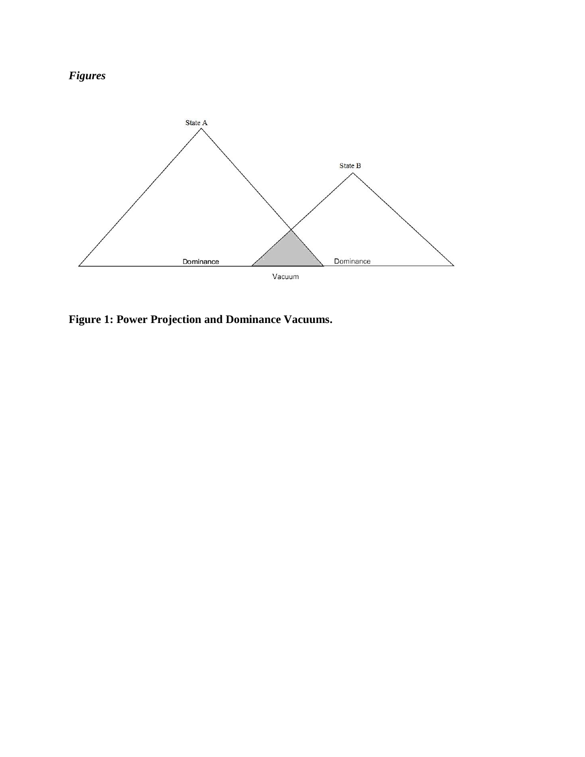



**Figure 1: Power Projection and Dominance Vacuums.**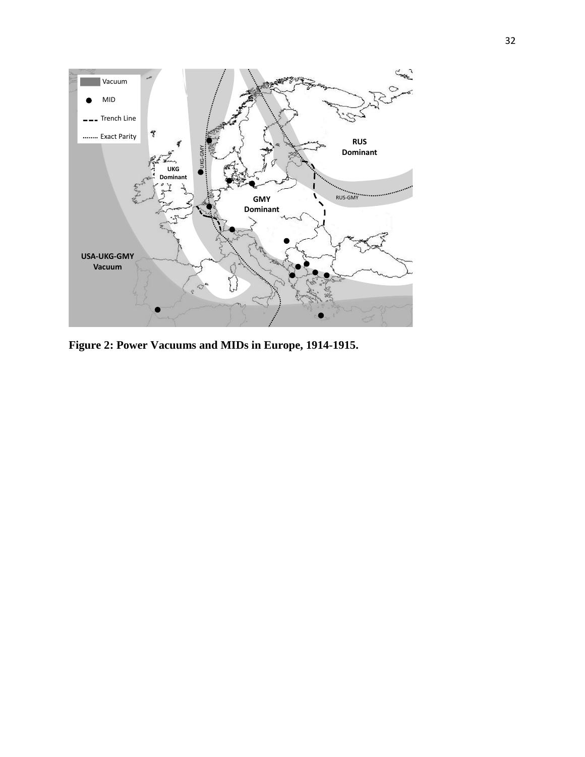

**Figure 2: Power Vacuums and MIDs in Europe, 1914-1915.**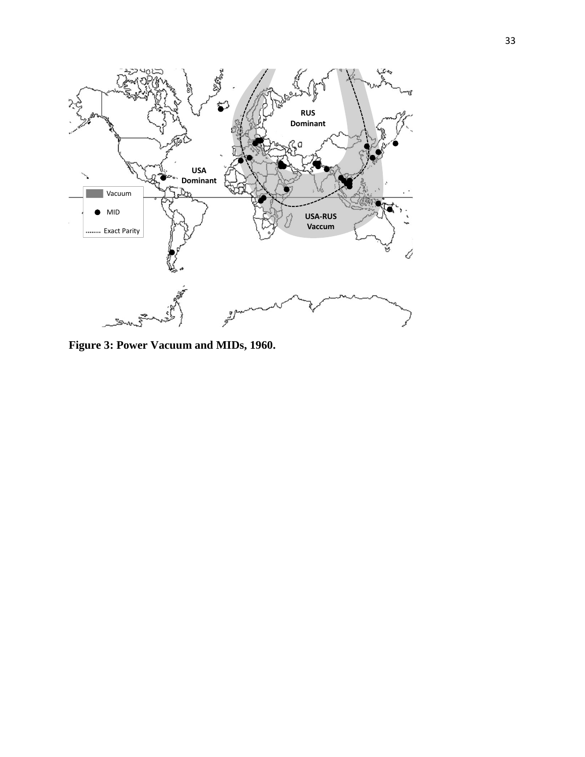

**Figure 3: Power Vacuum and MIDs, 1960.**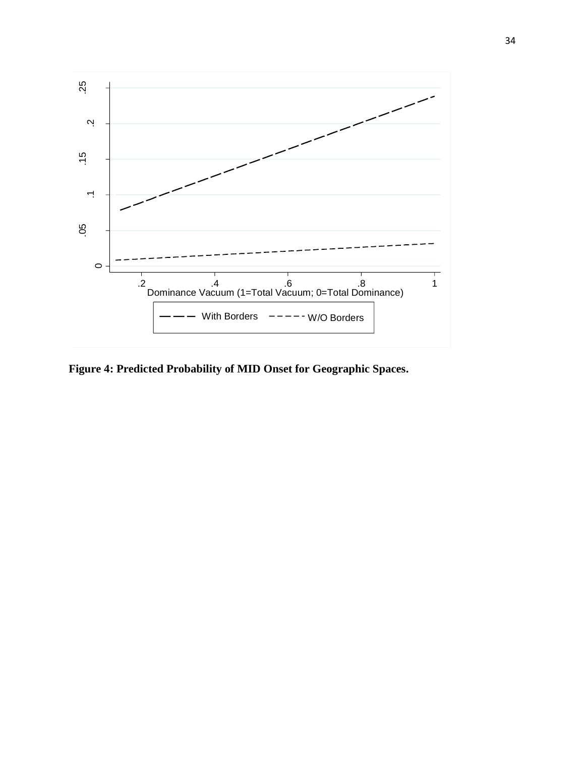

**Figure 4: Predicted Probability of MID Onset for Geographic Spaces.**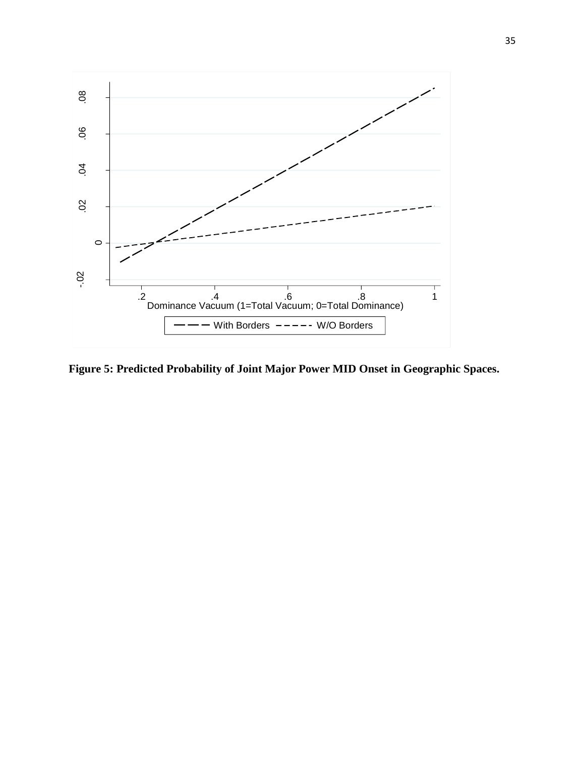

**Figure 5: Predicted Probability of Joint Major Power MID Onset in Geographic Spaces.**